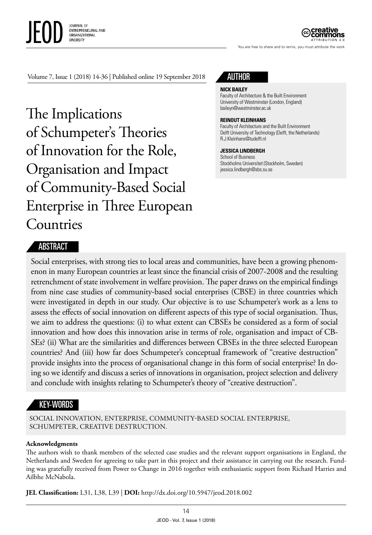JOURNAL OF ENTREPRENEURIAL AND ORGANIZATIONAL **DIVERSITY** 

ATTRIBUTION 3.0

You are free to share and to remix, you must attribute the work

Volume 7, Issue 1 (2018) 14-36 | Published online 19 September 2018

The Implications of Schumpeter's Theories of Innovation for the Role, Organisation and Impact of Community-Based Social Enterprise in Three European Countries

# AUTHOR

#### **NICK BAILEY**

Faculty of Architecture & the Built Environment University of Westminster (London, England) [baileyn@westminster.ac.uk](mailto:baileyn@westminster.ac.uk)

#### **REINOUT KLEINHANS**

Faculty of Architecture and the Built Environment Delft University of Technology (Delft, the Netherlands) [R.J.Kleinhans@tudelft.nl](mailto:R.J.Kleinhans@tudelft.nl)

#### **JESSICA LINDBERGH**

School of Business Stockholms Universitet (Stockholm, Sweden) [jessica.lindbergh@sbs.su.se](mailto:jessica.lindbergh@sbs.su.se)

### ABSTRACT

Social enterprises, with strong ties to local areas and communities, have been a growing phenomenon in many European countries at least since the financial crisis of 2007-2008 and the resulting retrenchment of state involvement in welfare provision. The paper draws on the empirical findings from nine case studies of community-based social enterprises (CBSE) in three countries which were investigated in depth in our study. Our objective is to use Schumpeter's work as a lens to assess the effects of social innovation on different aspects of this type of social organisation. Thus, we aim to address the questions: (i) to what extent can CBSEs be considered as a form of social innovation and how does this innovation arise in terms of role, organisation and impact of CB-SEs? (ii) What are the similarities and differences between CBSEs in the three selected European countries? And (iii) how far does Schumpeter's conceptual framework of "creative destruction" provide insights into the process of organisational change in this form of social enterprise? In doing so we identify and discuss a series of innovations in organisation, project selection and delivery and conclude with insights relating to Schumpeter's theory of "creative destruction".

## KEY-WORDS

SOCIAL INNOVATION, ENTERPRISE, COMMUNITY-BASED SOCIAL ENTERPRISE, SCHUMPETER, CREATIVE DESTRUCTION.

#### **Acknowledgments**

The authors wish to thank members of the selected case studies and the relevant support organisations in England, the Netherlands and Sweden for agreeing to take part in this project and their assistance in carrying out the research. Funding was gratefully received from Power to Change in 2016 together with enthusiastic support from Richard Harries and Ailbhe McNabola.

**JEL Classification:** L31, L38, L39 | **DOI:** http://dx.doi.org/10.5947/jeod.2018.002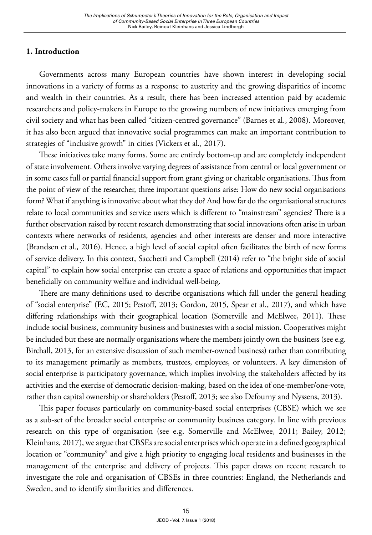## **1. Introduction**

Governments across many European countries have shown interest in developing social innovations in a variety of forms as a response to austerity and the growing disparities of income and wealth in their countries. As a result, there has been increased attention paid by academic researchers and policy-makers in Europe to the growing numbers of new initiatives emerging from civil society and what has been called "citizen-centred governance" (Barnes et al., 2008). Moreover, it has also been argued that innovative social programmes can make an important contribution to strategies of "inclusive growth" in cities (Vickers et al*.,* 2017).

These initiatives take many forms. Some are entirely bottom-up and are completely independent of state involvement. Others involve varying degrees of assistance from central or local government or in some cases full or partial financial support from grant giving or charitable organisations. Thus from the point of view of the researcher, three important questions arise: How do new social organisations form? What if anything is innovative about what they do? And how far do the organisational structures relate to local communities and service users which is different to "mainstream" agencies? There is a further observation raised by recent research demonstrating that social innovations often arise in urban contexts where networks of residents, agencies and other interests are denser and more interactive (Brandsen et al*.,* 2016). Hence, a high level of social capital often facilitates the birth of new forms of service delivery. In this context, Sacchetti and Campbell (2014) refer to "the bright side of social capital" to explain how social enterprise can create a space of relations and opportunities that impact beneficially on community welfare and individual well-being.

There are many definitions used to describe organisations which fall under the general heading of "social enterprise" (EC, 2015; Pestoff, 2013; Gordon, 2015, Spear et al., 2017), and which have differing relationships with their geographical location (Somerville and McElwee, 2011). These include social business, community business and businesses with a social mission. Cooperatives might be included but these are normally organisations where the members jointly own the business (see e.g. Birchall, 2013, for an extensive discussion of such member-owned business) rather than contributing to its management primarily as members, trustees, employees, or volunteers. A key dimension of social enterprise is participatory governance, which implies involving the stakeholders affected by its activities and the exercise of democratic decision-making, based on the idea of one-member/one-vote, rather than capital ownership or shareholders (Pestoff, 2013; see also Defourny and Nyssens, 2013).

This paper focuses particularly on community-based social enterprises (CBSE) which we see as a sub-set of the broader social enterprise or community business category. In line with previous research on this type of organisation (see e.g. Somerville and McElwee, 2011; Bailey, 2012; Kleinhans, 2017), we argue that CBSEs are social enterprises which operate in a defined geographical location or "community" and give a high priority to engaging local residents and businesses in the management of the enterprise and delivery of projects. This paper draws on recent research to investigate the role and organisation of CBSEs in three countries: England, the Netherlands and Sweden, and to identify similarities and differences.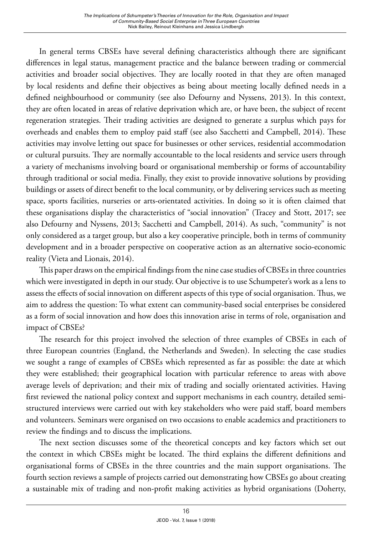In general terms CBSEs have several defining characteristics although there are significant differences in legal status, management practice and the balance between trading or commercial activities and broader social objectives. They are locally rooted in that they are often managed by local residents and define their objectives as being about meeting locally defined needs in a defined neighbourhood or community (see also Defourny and Nyssens, 2013). In this context, they are often located in areas of relative deprivation which are, or have been, the subject of recent regeneration strategies. Their trading activities are designed to generate a surplus which pays for overheads and enables them to employ paid staff (see also Sacchetti and Campbell, 2014). These activities may involve letting out space for businesses or other services, residential accommodation or cultural pursuits. They are normally accountable to the local residents and service users through a variety of mechanisms involving board or organisational membership or forms of accountability through traditional or social media. Finally, they exist to provide innovative solutions by providing buildings or assets of direct benefit to the local community, or by delivering services such as meeting space, sports facilities, nurseries or arts-orientated activities. In doing so it is often claimed that these organisations display the characteristics of "social innovation" (Tracey and Stott, 2017; see also Defourny and Nyssens, 2013; Sacchetti and Campbell, 2014). As such, "community" is not only considered as a target group, but also a key cooperative principle, both in terms of community development and in a broader perspective on cooperative action as an alternative socio-economic reality (Vieta and Lionais, 2014).

This paper draws on the empirical findings from the nine case studies of CBSEs in three countries which were investigated in depth in our study. Our objective is to use Schumpeter's work as a lens to assess the effects of social innovation on different aspects of this type of social organisation. Thus, we aim to address the question: To what extent can community-based social enterprises be considered as a form of social innovation and how does this innovation arise in terms of role, organisation and impact of CBSEs?

The research for this project involved the selection of three examples of CBSEs in each of three European countries (England, the Netherlands and Sweden). In selecting the case studies we sought a range of examples of CBSEs which represented as far as possible: the date at which they were established; their geographical location with particular reference to areas with above average levels of deprivation; and their mix of trading and socially orientated activities. Having first reviewed the national policy context and support mechanisms in each country, detailed semistructured interviews were carried out with key stakeholders who were paid staff, board members and volunteers. Seminars were organised on two occasions to enable academics and practitioners to review the findings and to discuss the implications.

The next section discusses some of the theoretical concepts and key factors which set out the context in which CBSEs might be located. The third explains the different definitions and organisational forms of CBSEs in the three countries and the main support organisations. The fourth section reviews a sample of projects carried out demonstrating how CBSEs go about creating a sustainable mix of trading and non-profit making activities as hybrid organisations (Doherty,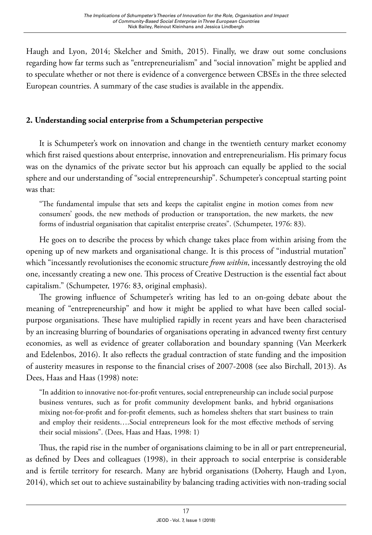Haugh and Lyon, 2014; Skelcher and Smith, 2015). Finally, we draw out some conclusions regarding how far terms such as "entrepreneurialism" and "social innovation" might be applied and to speculate whether or not there is evidence of a convergence between CBSEs in the three selected European countries. A summary of the case studies is available in the appendix.

## **2. Understanding social enterprise from a Schumpeterian perspective**

It is Schumpeter's work on innovation and change in the twentieth century market economy which first raised questions about enterprise, innovation and entrepreneurialism. His primary focus was on the dynamics of the private sector but his approach can equally be applied to the social sphere and our understanding of "social entrepreneurship". Schumpeter's conceptual starting point was that:

"The fundamental impulse that sets and keeps the capitalist engine in motion comes from new consumers' goods, the new methods of production or transportation, the new markets, the new forms of industrial organisation that capitalist enterprise creates". (Schumpeter, 1976: 83).

He goes on to describe the process by which change takes place from within arising from the opening up of new markets and organisational change. It is this process of "industrial mutation" which "incessantly revolutionises the economic structure *from within*, incessantly destroying the old one, incessantly creating a new one. This process of Creative Destruction is the essential fact about capitalism." (Schumpeter, 1976: 83, original emphasis).

The growing influence of Schumpeter's writing has led to an on-going debate about the meaning of "entrepreneurship" and how it might be applied to what have been called socialpurpose organisations. These have multiplied rapidly in recent years and have been characterised by an increasing blurring of boundaries of organisations operating in advanced twenty first century economies, as well as evidence of greater collaboration and boundary spanning (Van Meerkerk and Edelenbos, 2016). It also reflects the gradual contraction of state funding and the imposition of austerity measures in response to the financial crises of 2007-2008 (see also Birchall, 2013). As Dees, Haas and Haas (1998) note:

"In addition to innovative not-for-profit ventures, social entrepreneurship can include social purpose business ventures, such as for profit community development banks, and hybrid organisations mixing not-for-profit and for-profit elements, such as homeless shelters that start business to train and employ their residents….Social entrepreneurs look for the most effective methods of serving their social missions". (Dees, Haas and Haas, 1998: 1)

Thus, the rapid rise in the number of organisations claiming to be in all or part entrepreneurial, as defined by Dees and colleagues (1998), in their approach to social enterprise is considerable and is fertile territory for research. Many are hybrid organisations (Doherty, Haugh and Lyon, 2014), which set out to achieve sustainability by balancing trading activities with non-trading social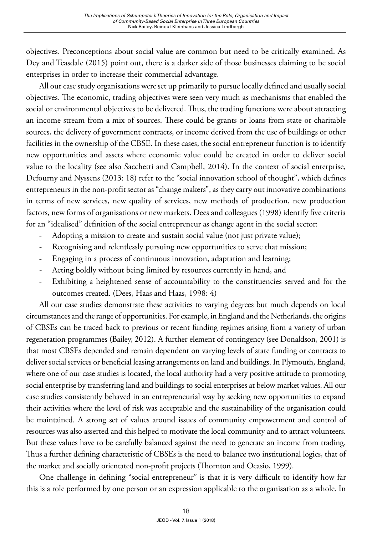objectives. Preconceptions about social value are common but need to be critically examined. As Dey and Teasdale (2015) point out, there is a darker side of those businesses claiming to be social enterprises in order to increase their commercial advantage.

All our case study organisations were set up primarily to pursue locally defined and usually social objectives. The economic, trading objectives were seen very much as mechanisms that enabled the social or environmental objectives to be delivered. Thus, the trading functions were about attracting an income stream from a mix of sources. These could be grants or loans from state or charitable sources, the delivery of government contracts, or income derived from the use of buildings or other facilities in the ownership of the CBSE. In these cases, the social entrepreneur function is to identify new opportunities and assets where economic value could be created in order to deliver social value to the locality (see also Sacchetti and Campbell, 2014). In the context of social enterprise, Defourny and Nyssens (2013: 18) refer to the "social innovation school of thought", which defines entrepreneurs in the non-profit sector as "change makers", as they carry out innovative combinations in terms of new services, new quality of services, new methods of production, new production factors, new forms of organisations or new markets. Dees and colleagues (1998) identify five criteria for an "idealised" definition of the social entrepreneur as change agent in the social sector:

- Adopting a mission to create and sustain social value (not just private value);
- Recognising and relentlessly pursuing new opportunities to serve that mission;
- Engaging in a process of continuous innovation, adaptation and learning;
- Acting boldly without being limited by resources currently in hand, and
- Exhibiting a heightened sense of accountability to the constituencies served and for the outcomes created. (Dees, Haas and Haas, 1998: 4)

All our case studies demonstrate these activities to varying degrees but much depends on local circumstances and the range of opportunities. For example, in England and the Netherlands, the origins of CBSEs can be traced back to previous or recent funding regimes arising from a variety of urban regeneration programmes (Bailey, 2012). A further element of contingency (see Donaldson, 2001) is that most CBSEs depended and remain dependent on varying levels of state funding or contracts to deliver social services or beneficial leasing arrangements on land and buildings. In Plymouth, England, where one of our case studies is located, the local authority had a very positive attitude to promoting social enterprise by transferring land and buildings to social enterprises at below market values. All our case studies consistently behaved in an entrepreneurial way by seeking new opportunities to expand their activities where the level of risk was acceptable and the sustainability of the organisation could be maintained. A strong set of values around issues of community empowerment and control of resources was also asserted and this helped to motivate the local community and to attract volunteers. But these values have to be carefully balanced against the need to generate an income from trading. Thus a further defining characteristic of CBSEs is the need to balance two institutional logics, that of the market and socially orientated non-profit projects (Thornton and Ocasio, 1999).

One challenge in defining "social entrepreneur" is that it is very difficult to identify how far this is a role performed by one person or an expression applicable to the organisation as a whole. In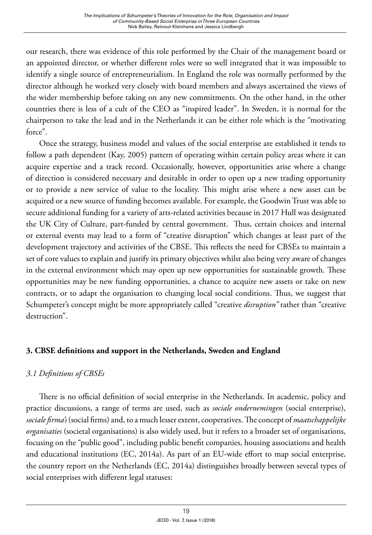our research, there was evidence of this role performed by the Chair of the management board or an appointed director, or whether different roles were so well integrated that it was impossible to identify a single source of entrepreneurialism. In England the role was normally performed by the director although he worked very closely with board members and always ascertained the views of the wider membership before taking on any new commitments. On the other hand, in the other countries there is less of a cult of the CEO as "inspired leader". In Sweden, it is normal for the chairperson to take the lead and in the Netherlands it can be either role which is the "motivating force".

Once the strategy, business model and values of the social enterprise are established it tends to follow a path dependent (Kay, 2005) pattern of operating within certain policy areas where it can acquire expertise and a track record. Occasionally, however, opportunities arise where a change of direction is considered necessary and desirable in order to open up a new trading opportunity or to provide a new service of value to the locality. This might arise where a new asset can be acquired or a new source of funding becomes available. For example, the Goodwin Trust was able to secure additional funding for a variety of arts-related activities because in 2017 Hull was designated the UK City of Culture, part-funded by central government. Thus, certain choices and internal or external events may lead to a form of "creative disruption" which changes at least part of the development trajectory and activities of the CBSE. This reflects the need for CBSEs to maintain a set of core values to explain and justify its primary objectives whilst also being very aware of changes in the external environment which may open up new opportunities for sustainable growth. These opportunities may be new funding opportunities, a chance to acquire new assets or take on new contracts, or to adapt the organisation to changing local social conditions. Thus, we suggest that Schumpeter's concept might be more appropriately called "creative *disruption"* rather than "creative destruction".

# **3. CBSE definitions and support in the Netherlands, Sweden and England**

# *3.1 Definitions of CBSEs*

There is no official definition of social enterprise in the Netherlands. In academic, policy and practice discussions, a range of terms are used, such as *sociale ondernemingen* (social enterprise), *sociale firma's* (social firms) and, to a much lesser extent, cooperatives. The concept of *maatschappelijke organisaties* (societal organisations) is also widely used, but it refers to a broader set of organisations, focusing on the "public good", including public benefit companies, housing associations and health and educational institutions (EC, 2014a). As part of an EU-wide effort to map social enterprise, the country report on the Netherlands (EC, 2014a) distinguishes broadly between several types of social enterprises with different legal statuses: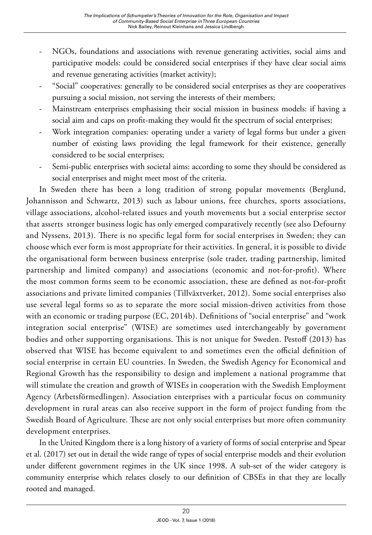- NGOs, foundations and associations with revenue generating activities, social aims and participative models: could be considered social enterprises if they have clear social aims and revenue generating activities (market activity);
- "Social" cooperatives: generally to be considered social enterprises as they are cooperatives pursuing a social mission, not serving the interests of their members;
- Mainstream enterprises emphasising their social mission in business models: if having a social aim and caps on profit-making they would fit the spectrum of social enterprises;
- Work integration companies: operating under a variety of legal forms but under a given number of existing laws providing the legal framework for their existence, generally considered to be social enterprises;
- Semi-public enterprises with societal aims: according to some they should be considered as social enterprises and might meet most of the criteria.

In Sweden there has been a long tradition of strong popular movements (Berglund, Johannisson and Schwartz, 2013) such as labour unions, free churches, sports associations, village associations, alcohol-related issues and youth movements but a social enterprise sector that asserts stronger business logic has only emerged comparatively recently (see also Defourny and Nyssens, 2013). There is no specific legal form for social enterprises in Sweden; they can choose which ever form is most appropriate for their activities. In general, it is possible to divide the organisational form between business enterprise (sole trader, trading partnership, limited partnership and limited company) and associations (economic and not-for-profit). Where the most common forms seem to be economic association, these are defined as not-for-profit associations and private limited companies (Tillväxtverket, 2012). Some social enterprises also use several legal forms so as to separate the more social mission-driven activities from those with an economic or trading purpose (EC, 2014b). Definitions of "social enterprise" and "work integration social enterprise" (WISE) are sometimes used interchangeably by government bodies and other supporting organisations. This is not unique for Sweden. Pestoff (2013) has observed that WISE has become equivalent to and sometimes even the official definition of social enterprise in certain EU countries. In Sweden, the Swedish Agency for Economical and Regional Growth has the responsibility to design and implement a national programme that will stimulate the creation and growth of WISEs in cooperation with the Swedish Employment Agency (Arbetsförmedlingen). Association enterprises with a particular focus on community development in rural areas can also receive support in the form of project funding from the Swedish Board of Agriculture. These are not only social enterprises but more often community development enterprises.

In the United Kingdom there is a long history of a variety of forms of social enterprise and Spear et al. (2017) set out in detail the wide range of types of social enterprise models and their evolution under different government regimes in the UK since 1998. A sub-set of the wider category is community enterprise which relates closely to our definition of CBSEs in that they are locally rooted and managed.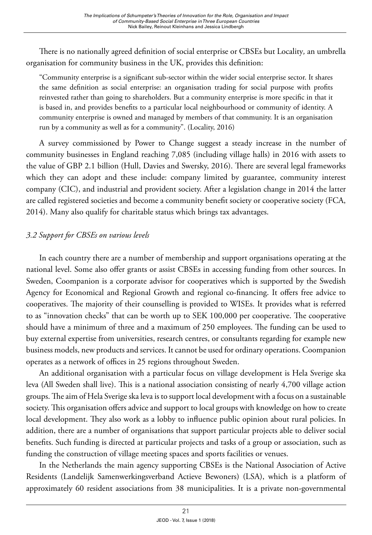There is no nationally agreed definition of social enterprise or CBSEs but Locality*,* an umbrella organisation for community business in the UK, provides this definition:

"Community enterprise is a significant sub-sector within the wider social enterprise sector. It shares the same definition as social enterprise: an organisation trading for social purpose with profits reinvested rather than going to shareholders. But a community enterprise is more specific in that it is based in, and provides benefits to a particular local neighbourhood or community of identity. A community enterprise is owned and managed by members of that community. It is an organisation run by a community as well as for a community". (Locality, 2016)

A survey commissioned by Power to Change suggest a steady increase in the number of community businesses in England reaching 7,085 (including village halls) in 2016 with assets to the value of GBP 2.1 billion (Hull, Davies and Swersky, 2016). There are several legal frameworks which they can adopt and these include: company limited by guarantee, community interest company (CIC), and industrial and provident society. After a legislation change in 2014 the latter are called registered societies and become a community benefit society or cooperative society (FCA, 2014). Many also qualify for charitable status which brings tax advantages.

# *3.2 Support for CBSEs on various levels*

In each country there are a number of membership and support organisations operating at the national level. Some also offer grants or assist CBSEs in accessing funding from other sources. In Sweden, Coompanion is a corporate advisor for cooperatives which is supported by the Swedish Agency for Economical and Regional Growth and regional co-financing. It offers free advice to cooperatives. The majority of their counselling is provided to WISEs. It provides what is referred to as "innovation checks" that can be worth up to SEK 100,000 per cooperative. The cooperative should have a minimum of three and a maximum of 250 employees. The funding can be used to buy external expertise from universities, research centres, or consultants regarding for example new business models, new products and services. It cannot be used for ordinary operations. Coompanion operates as a network of offices in 25 regions throughout Sweden.

An additional organisation with a particular focus on village development is Hela Sverige ska leva (All Sweden shall live). This is a national association consisting of nearly 4,700 village action groups. The aim of Hela Sverige ska leva is to support local development with a focus on a sustainable society. This organisation offers advice and support to local groups with knowledge on how to create local development. They also work as a lobby to influence public opinion about rural policies. In addition, there are a number of organisations that support particular projects able to deliver social benefits. Such funding is directed at particular projects and tasks of a group or association, such as funding the construction of village meeting spaces and sports facilities or venues.

In the Netherlands the main agency supporting CBSEs is the National Association of Active Residents (Landelijk Samenwerkingsverband Actieve Bewoners) (LSA), which is a platform of approximately 60 resident associations from 38 municipalities. It is a private non-governmental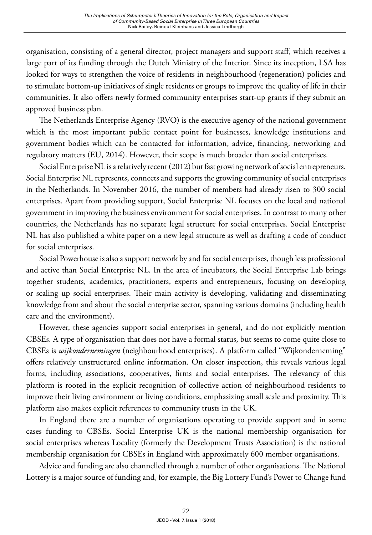organisation, consisting of a general director, project managers and support staff, which receives a large part of its funding through the Dutch Ministry of the Interior. Since its inception, LSA has looked for ways to strengthen the voice of residents in neighbourhood (regeneration) policies and to stimulate bottom-up initiatives of single residents or groups to improve the quality of life in their communities. It also offers newly formed community enterprises start-up grants if they submit an approved business plan.

The Netherlands Enterprise Agency (RVO) is the executive agency of the national government which is the most important public contact point for businesses, knowledge institutions and government bodies which can be contacted for information, advice, financing, networking and regulatory matters (EU, 2014). However, their scope is much broader than social enterprises.

Social Enterprise NLis a relatively recent (2012) but fast growing network of social entrepreneurs. Social Enterprise NL represents, connects and supports the growing community of social enterprises in the Netherlands. In November 2016, the number of members had already risen to 300 social enterprises. Apart from providing support, Social Enterprise NL focuses on the local and national government in improving the business environment for social enterprises. In contrast to many other countries, the Netherlands has no separate legal structure for social enterprises. Social Enterprise NL has also published a white paper on a new legal structure as well as drafting a code of conduct for social enterprises.

Social Powerhouse is also a support network by and for social enterprises, though less professional and active than Social Enterprise NL. In the area of incubators, the Social Enterprise Lab brings together students, academics, practitioners, experts and entrepreneurs, focusing on developing or scaling up social enterprises. Their main activity is developing, validating and disseminating knowledge from and about the social enterprise sector, spanning various domains (including health care and the environment).

However, these agencies support social enterprises in general, and do not explicitly mention CBSEs. A type of organisation that does not have a formal status, but seems to come quite close to CBSEs is *wijkondernemingen* (neighbourhood enterprises). A platform called "Wijkonderneming" offers relatively unstructured online information. On closer inspection, this reveals various legal forms, including associations, cooperatives, firms and social enterprises. The relevancy of this platform is rooted in the explicit recognition of collective action of neighbourhood residents to improve their living environment or living conditions, emphasizing small scale and proximity. This platform also makes explicit references to community trusts in the UK.

In England there are a number of organisations operating to provide support and in some cases funding to CBSEs. Social Enterprise UK is the national membership organisation for social enterprises whereas Locality (formerly the Development Trusts Association) is the national membership organisation for CBSEs in England with approximately 600 member organisations.

Advice and funding are also channelled through a number of other organisations. The National Lottery is a major source of funding and, for example, the Big Lottery Fund's Power to Change fund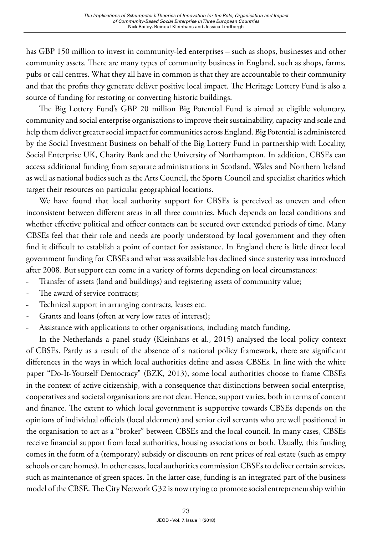has GBP 150 million to invest in community-led enterprises – such as shops, businesses and other community assets. There are many types of community business in England, such as shops, farms, pubs or call centres. What they all have in common is that they are accountable to their community and that the profits they generate deliver positive local impact. The Heritage Lottery Fund is also a source of funding for restoring or converting historic buildings.

The Big Lottery Fund's GBP 20 million Big Potential Fund is aimed at eligible voluntary, community and social enterprise organisations to improve their sustainability, capacity and scale and help them deliver greater social impact for communities across England. Big Potential is administered by the Social Investment Business on behalf of the Big Lottery Fund in partnership with Locality, Social Enterprise UK, Charity Bank and the University of Northampton. In addition, CBSEs can access additional funding from separate administrations in Scotland, Wales and Northern Ireland as well as national bodies such as the Arts Council, the Sports Council and specialist charities which target their resources on particular geographical locations.

We have found that local authority support for CBSEs is perceived as uneven and often inconsistent between different areas in all three countries. Much depends on local conditions and whether effective political and officer contacts can be secured over extended periods of time. Many CBSEs feel that their role and needs are poorly understood by local government and they often find it difficult to establish a point of contact for assistance. In England there is little direct local government funding for CBSEs and what was available has declined since austerity was introduced after 2008. But support can come in a variety of forms depending on local circumstances:

- Transfer of assets (land and buildings) and registering assets of community value;
- The award of service contracts;
- Technical support in arranging contracts, leases etc.
- Grants and loans (often at very low rates of interest);
- Assistance with applications to other organisations, including match funding.

In the Netherlands a panel study (Kleinhans et al., 2015) analysed the local policy context of CBSEs. Partly as a result of the absence of a national policy framework, there are significant differences in the ways in which local authorities define and assess CBSEs. In line with the white paper "Do-It-Yourself Democracy" (BZK, 2013), some local authorities choose to frame CBSEs in the context of active citizenship, with a consequence that distinctions between social enterprise, cooperatives and societal organisations are not clear. Hence, support varies, both in terms of content and finance. The extent to which local government is supportive towards CBSEs depends on the opinions of individual officials (local aldermen) and senior civil servants who are well positioned in the organisation to act as a "broker" between CBSEs and the local council. In many cases, CBSEs receive financial support from local authorities, housing associations or both. Usually, this funding comes in the form of a (temporary) subsidy or discounts on rent prices of real estate (such as empty schools or care homes). In other cases, local authorities commission CBSEs to deliver certain services, such as maintenance of green spaces. In the latter case, funding is an integrated part of the business model of the CBSE. The City Network G32 is now trying to promote social entrepreneurship within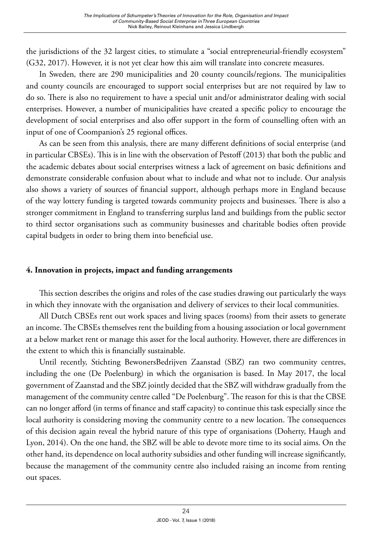the jurisdictions of the 32 largest cities, to stimulate a "social entrepreneurial-friendly ecosystem" (G32, 2017). However, it is not yet clear how this aim will translate into concrete measures.

In Sweden*,* there are 290 municipalities and 20 county councils/regions. The municipalities and county councils are encouraged to support social enterprises but are not required by law to do so. There is also no requirement to have a special unit and/or administrator dealing with social enterprises. However, a number of municipalities have created a specific policy to encourage the development of social enterprises and also offer support in the form of counselling often with an input of one of Coompanion's 25 regional offices.

As can be seen from this analysis, there are many different definitions of social enterprise (and in particular CBSEs). This is in line with the observation of Pestoff (2013) that both the public and the academic debates about social enterprises witness a lack of agreement on basic definitions and demonstrate considerable confusion about what to include and what not to include. Our analysis also shows a variety of sources of financial support, although perhaps more in England because of the way lottery funding is targeted towards community projects and businesses. There is also a stronger commitment in England to transferring surplus land and buildings from the public sector to third sector organisations such as community businesses and charitable bodies often provide capital budgets in order to bring them into beneficial use.

### **4. Innovation in projects, impact and funding arrangements**

This section describes the origins and roles of the case studies drawing out particularly the ways in which they innovate with the organisation and delivery of services to their local communities.

All Dutch CBSEs rent out work spaces and living spaces (rooms) from their assets to generate an income. The CBSEs themselves rent the building from a housing association or local government at a below market rent or manage this asset for the local authority. However, there are differences in the extent to which this is financially sustainable.

Until recently, Stichting BewonersBedrijven Zaanstad (SBZ) ran two community centres, including the one (De Poelenburg) in which the organisation is based. In May 2017, the local government of Zaanstad and the SBZ jointly decided that the SBZ will withdraw gradually from the management of the community centre called "De Poelenburg". The reason for this is that the CBSE can no longer afford (in terms of finance and staff capacity) to continue this task especially since the local authority is considering moving the community centre to a new location. The consequences of this decision again reveal the hybrid nature of this type of organisations (Doherty, Haugh and Lyon, 2014). On the one hand, the SBZ will be able to devote more time to its social aims. On the other hand, its dependence on local authority subsidies and other funding will increase significantly, because the management of the community centre also included raising an income from renting out spaces.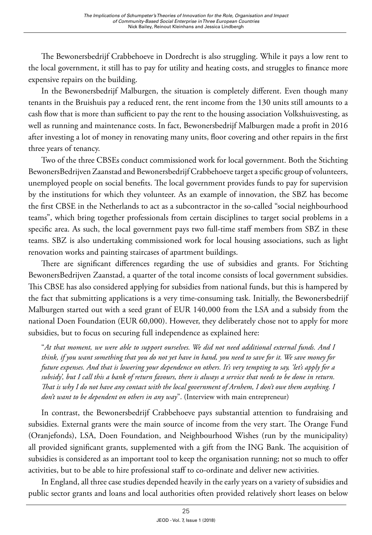The Bewonersbedrijf Crabbehoeve in Dordrecht is also struggling. While it pays a low rent to the local government, it still has to pay for utility and heating costs, and struggles to finance more expensive repairs on the building.

In the Bewonersbedrijf Malburgen, the situation is completely different. Even though many tenants in the Bruishuis pay a reduced rent, the rent income from the 130 units still amounts to a cash flow that is more than sufficient to pay the rent to the housing association Volkshuisvesting, as well as running and maintenance costs. In fact, Bewonersbedrijf Malburgen made a profit in 2016 after investing a lot of money in renovating many units, floor covering and other repairs in the first three years of tenancy.

Two of the three CBSEs conduct commissioned work for local government. Both the Stichting BewonersBedrijven Zaanstad and Bewonersbedrijf Crabbehoeve target a specific group of volunteers, unemployed people on social benefits. The local government provides funds to pay for supervision by the institutions for which they volunteer. As an example of innovation, the SBZ has become the first CBSE in the Netherlands to act as a subcontractor in the so-called "social neighbourhood teams", which bring together professionals from certain disciplines to target social problems in a specific area. As such, the local government pays two full-time staff members from SBZ in these teams. SBZ is also undertaking commissioned work for local housing associations, such as light renovation works and painting staircases of apartment buildings.

There are significant differences regarding the use of subsidies and grants. For Stichting BewonersBedrijven Zaanstad, a quarter of the total income consists of local government subsidies. This CBSE has also considered applying for subsidies from national funds, but this is hampered by the fact that submitting applications is a very time-consuming task. Initially, the Bewonersbedrijf Malburgen started out with a seed grant of EUR 140,000 from the LSA and a subsidy from the national Doen Foundation (EUR 60,000). However, they deliberately chose not to apply for more subsidies, but to focus on securing full independence as explained here:

"*At that moment, we were able to support ourselves. We did not need additional external funds. And I think, if you want something that you do not yet have in hand, you need to save for it. We save money for future expenses. And that is lowering your dependence on others. It's very tempting to say, 'let's apply for a subsidy', but I call this a bank of return favours, there is always a service that needs to be done in return. That is why I do not have any contact with the local government of Arnhem, I don't owe them anything. I don't want to be dependent on others in any way*". (Interview with main entrepreneur)

In contrast, the Bewonersbedrijf Crabbehoeve pays substantial attention to fundraising and subsidies. External grants were the main source of income from the very start. The Orange Fund (Oranjefonds), LSA, Doen Foundation, and Neighbourhood Wishes (run by the municipality) all provided significant grants, supplemented with a gift from the ING Bank. The acquisition of subsidies is considered as an important tool to keep the organisation running; not so much to offer activities, but to be able to hire professional staff to co-ordinate and deliver new activities.

In England, all three case studies depended heavily in the early years on a variety of subsidies and public sector grants and loans and local authorities often provided relatively short leases on below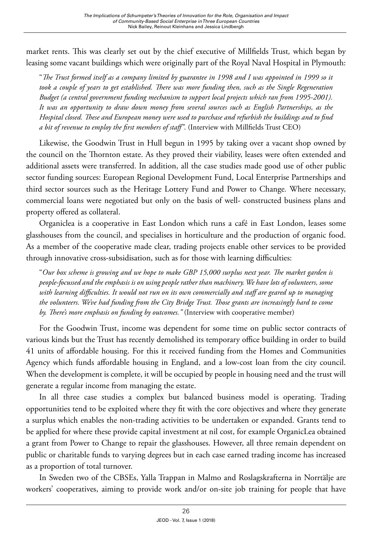market rents. This was clearly set out by the chief executive of Millfields Trust*,* which began by leasing some vacant buildings which were originally part of the Royal Naval Hospital in Plymouth:

"*The Trust formed itself as a company limited by guarantee in 1998 and I was appointed in 1999 so it took a couple of years to get established. There was more funding then, such as the Single Regeneration Budget (a central government funding mechanism to support local projects which ran from 1995-2001). It was an opportunity to draw down money from several sources such as English Partnerships, as the Hospital closed. These and European money were used to purchase and refurbish the buildings and to find a bit of revenue to employ the first members of staff"*. (Interview with Millfields Trust CEO)

Likewise, the Goodwin Trust in Hull begun in 1995 by taking over a vacant shop owned by the council on the Thornton estate. As they proved their viability, leases were often extended and additional assets were transferred. In addition, all the case studies made good use of other public sector funding sources: European Regional Development Fund, Local Enterprise Partnerships and third sector sources such as the Heritage Lottery Fund and Power to Change*.* Where necessary, commercial loans were negotiated but only on the basis of well- constructed business plans and property offered as collateral.

Organiclea is a cooperative in East London which runs a café in East London, leases some glasshouses from the council, and specialises in horticulture and the production of organic food. As a member of the cooperative made clear, trading projects enable other services to be provided through innovative cross-subsidisation, such as for those with learning difficulties:

"*Our box scheme is growing and we hope to make GBP 15,000 surplus next year. The market garden is people-focussed and the emphasis is on using people rather than machinery. We have lots of volunteers, some with learning difficulties. It would not run on its own commercially and staff are geared up to managing the volunteers. We've had funding from the City Bridge Trust. Those grants are increasingly hard to come by. There's more emphasis on funding by outcomes."* (Interview with cooperative member)

For the Goodwin Trust, income was dependent for some time on public sector contracts of various kinds but the Trust has recently demolished its temporary office building in order to build 41 units of affordable housing. For this it received funding from the Homes and Communities Agency which funds affordable housing in England, and a low-cost loan from the city council. When the development is complete, it will be occupied by people in housing need and the trust will generate a regular income from managing the estate.

In all three case studies a complex but balanced business model is operating. Trading opportunities tend to be exploited where they fit with the core objectives and where they generate a surplus which enables the non-trading activities to be undertaken or expanded. Grants tend to be applied for where these provide capital investment at nil cost, for example OrganicLea obtained a grant from Power to Change to repair the glasshouses. However, all three remain dependent on public or charitable funds to varying degrees but in each case earned trading income has increased as a proportion of total turnover.

In Sweden two of the CBSEs, Yalla Trappan in Malmo and Roslagskrafterna in Norrtälje are workers' cooperatives, aiming to provide work and/or on-site job training for people that have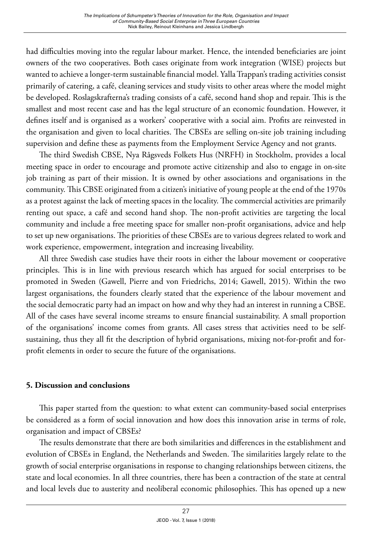had difficulties moving into the regular labour market. Hence, the intended beneficiaries are joint owners of the two cooperatives. Both cases originate from work integration (WISE) projects but wanted to achieve a longer-term sustainable financial model. Yalla Trappan's trading activities consist primarily of catering, a café, cleaning services and study visits to other areas where the model might be developed. Roslagskrafterna's trading consists of a café, second hand shop and repair. This is the smallest and most recent case and has the legal structure of an economic foundation. However, it defines itself and is organised as a workers' cooperative with a social aim. Profits are reinvested in the organisation and given to local charities. The CBSEs are selling on-site job training including supervision and define these as payments from the Employment Service Agency and not grants.

The third Swedish CBSE, Nya Rågsveds Folkets Hus (NRFH) in Stockholm, provides a local meeting space in order to encourage and promote active citizenship and also to engage in on-site job training as part of their mission. It is owned by other associations and organisations in the community. This CBSE originated from a citizen's initiative of young people at the end of the 1970s as a protest against the lack of meeting spaces in the locality. The commercial activities are primarily renting out space, a café and second hand shop. The non-profit activities are targeting the local community and include a free meeting space for smaller non-profit organisations, advice and help to set up new organisations. The priorities of these CBSEs are to various degrees related to work and work experience, empowerment, integration and increasing liveability.

All three Swedish case studies have their roots in either the labour movement or cooperative principles. This is in line with previous research which has argued for social enterprises to be promoted in Sweden (Gawell, Pierre and von Friedrichs, 2014; Gawell, 2015). Within the two largest organisations, the founders clearly stated that the experience of the labour movement and the social democratic party had an impact on how and why they had an interest in running a CBSE. All of the cases have several income streams to ensure financial sustainability. A small proportion of the organisations' income comes from grants. All cases stress that activities need to be selfsustaining, thus they all fit the description of hybrid organisations, mixing not-for-profit and forprofit elements in order to secure the future of the organisations.

## **5. Discussion and conclusions**

This paper started from the question: to what extent can community-based social enterprises be considered as a form of social innovation and how does this innovation arise in terms of role, organisation and impact of CBSEs?

The results demonstrate that there are both similarities and differences in the establishment and evolution of CBSEs in England, the Netherlands and Sweden. The similarities largely relate to the growth of social enterprise organisations in response to changing relationships between citizens, the state and local economies. In all three countries, there has been a contraction of the state at central and local levels due to austerity and neoliberal economic philosophies. This has opened up a new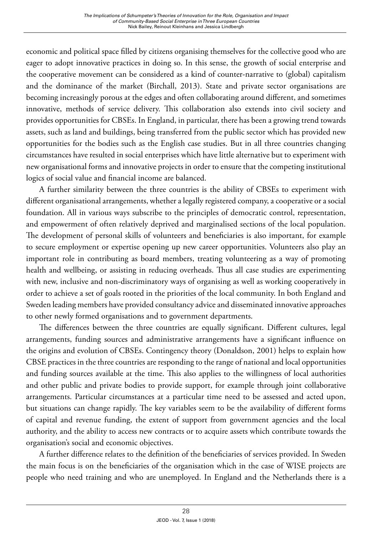economic and political space filled by citizens organising themselves for the collective good who are eager to adopt innovative practices in doing so. In this sense, the growth of social enterprise and the cooperative movement can be considered as a kind of counter-narrative to (global) capitalism and the dominance of the market (Birchall, 2013). State and private sector organisations are becoming increasingly porous at the edges and often collaborating around different, and sometimes innovative, methods of service delivery. This collaboration also extends into civil society and provides opportunities for CBSEs. In England, in particular, there has been a growing trend towards assets, such as land and buildings, being transferred from the public sector which has provided new opportunities for the bodies such as the English case studies. But in all three countries changing circumstances have resulted in social enterprises which have little alternative but to experiment with new organisational forms and innovative projects in order to ensure that the competing institutional logics of social value and financial income are balanced.

A further similarity between the three countries is the ability of CBSEs to experiment with different organisational arrangements, whether a legally registered company, a cooperative or a social foundation. All in various ways subscribe to the principles of democratic control, representation, and empowerment of often relatively deprived and marginalised sections of the local population. The development of personal skills of volunteers and beneficiaries is also important, for example to secure employment or expertise opening up new career opportunities. Volunteers also play an important role in contributing as board members, treating volunteering as a way of promoting health and wellbeing, or assisting in reducing overheads. Thus all case studies are experimenting with new, inclusive and non-discriminatory ways of organising as well as working cooperatively in order to achieve a set of goals rooted in the priorities of the local community. In both England and Sweden leading members have provided consultancy advice and disseminated innovative approaches to other newly formed organisations and to government departments.

The differences between the three countries are equally significant. Different cultures, legal arrangements, funding sources and administrative arrangements have a significant influence on the origins and evolution of CBSEs. Contingency theory (Donaldson, 2001) helps to explain how CBSE practices in the three countries are responding to the range of national and local opportunities and funding sources available at the time. This also applies to the willingness of local authorities and other public and private bodies to provide support, for example through joint collaborative arrangements. Particular circumstances at a particular time need to be assessed and acted upon, but situations can change rapidly. The key variables seem to be the availability of different forms of capital and revenue funding, the extent of support from government agencies and the local authority, and the ability to access new contracts or to acquire assets which contribute towards the organisation's social and economic objectives.

A further difference relates to the definition of the beneficiaries of services provided. In Sweden the main focus is on the beneficiaries of the organisation which in the case of WISE projects are people who need training and who are unemployed. In England and the Netherlands there is a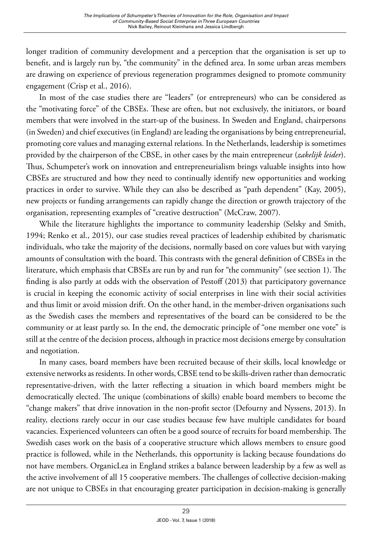longer tradition of community development and a perception that the organisation is set up to benefit, and is largely run by, "the community" in the defined area. In some urban areas members are drawing on experience of previous regeneration programmes designed to promote community engagement (Crisp et al*.,* 2016).

In most of the case studies there are "leaders" (or entrepreneurs) who can be considered as the "motivating force" of the CBSEs. These are often, but not exclusively, the initiators, or board members that were involved in the start-up of the business. In Sweden and England, chairpersons (in Sweden) and chief executives (in England) are leading the organisations by being entrepreneurial, promoting core values and managing external relations. In the Netherlands, leadership is sometimes provided by the chairperson of the CBSE, in other cases by the main entrepreneur (*zakelijk leider*). Thus, Schumpeter's work on innovation and entrepreneurialism brings valuable insights into how CBSEs are structured and how they need to continually identify new opportunities and working practices in order to survive. While they can also be described as "path dependent" (Kay, 2005), new projects or funding arrangements can rapidly change the direction or growth trajectory of the organisation, representing examples of "creative destruction" (McCraw, 2007).

While the literature highlights the importance to community leadership (Selsky and Smith, 1994; Renko et al., 2015), our case studies reveal practices of leadership exhibited by charismatic individuals, who take the majority of the decisions, normally based on core values but with varying amounts of consultation with the board. This contrasts with the general definition of CBSEs in the literature, which emphasis that CBSEs are run by and run for "the community" (see section 1). The finding is also partly at odds with the observation of Pestoff (2013) that participatory governance is crucial in keeping the economic activity of social enterprises in line with their social activities and thus limit or avoid mission drift. On the other hand, in the member-driven organisations such as the Swedish cases the members and representatives of the board can be considered to be the community or at least partly so. In the end, the democratic principle of "one member one vote" is still at the centre of the decision process, although in practice most decisions emerge by consultation and negotiation.

In many cases, board members have been recruited because of their skills, local knowledge or extensive networks as residents. In other words, CBSE tend to be skills-driven rather than democratic representative-driven, with the latter reflecting a situation in which board members might be democratically elected. The unique (combinations of skills) enable board members to become the "change makers" that drive innovation in the non-profit sector (Defourny and Nyssens, 2013). In reality, elections rarely occur in our case studies because few have multiple candidates for board vacancies. Experienced volunteers can often be a good source of recruits for board membership. The Swedish cases work on the basis of a cooperative structure which allows members to ensure good practice is followed, while in the Netherlands, this opportunity is lacking because foundations do not have members. OrganicLea in England strikes a balance between leadership by a few as well as the active involvement of all 15 cooperative members. The challenges of collective decision-making are not unique to CBSEs in that encouraging greater participation in decision-making is generally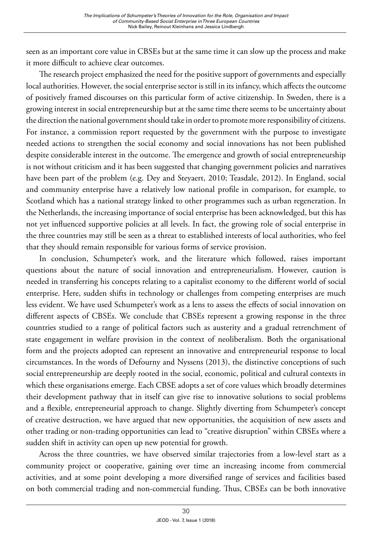seen as an important core value in CBSEs but at the same time it can slow up the process and make it more difficult to achieve clear outcomes.

The research project emphasized the need for the positive support of governments and especially local authorities. However, the social enterprise sector is still in its infancy, which affects the outcome of positively framed discourses on this particular form of active citizenship. In Sweden, there is a growing interest in social entrepreneurship but at the same time there seems to be uncertainty about the direction the national government should take in order to promote more responsibility of citizens. For instance, a commission report requested by the government with the purpose to investigate needed actions to strengthen the social economy and social innovations has not been published despite considerable interest in the outcome. The emergence and growth of social entrepreneurship is not without criticism and it has been suggested that changing government policies and narratives have been part of the problem (e.g. Dey and Steyaert, 2010; Teasdale, 2012). In England, social and community enterprise have a relatively low national profile in comparison, for example, to Scotland which has a national strategy linked to other programmes such as urban regeneration. In the Netherlands, the increasing importance of social enterprise has been acknowledged, but this has not yet influenced supportive policies at all levels. In fact, the growing role of social enterprise in the three countries may still be seen as a threat to established interests of local authorities, who feel that they should remain responsible for various forms of service provision.

In conclusion, Schumpeter's work, and the literature which followed, raises important questions about the nature of social innovation and entrepreneurialism. However, caution is needed in transferring his concepts relating to a capitalist economy to the different world of social enterprise. Here, sudden shifts in technology or challenges from competing enterprises are much less evident. We have used Schumpeter's work as a lens to assess the effects of social innovation on different aspects of CBSEs. We conclude that CBSEs represent a growing response in the three countries studied to a range of political factors such as austerity and a gradual retrenchment of state engagement in welfare provision in the context of neoliberalism. Both the organisational form and the projects adopted can represent an innovative and entrepreneurial response to local circumstances. In the words of Defourny and Nyssens (2013), the distinctive conceptions of such social entrepreneurship are deeply rooted in the social, economic, political and cultural contexts in which these organisations emerge. Each CBSE adopts a set of core values which broadly determines their development pathway that in itself can give rise to innovative solutions to social problems and a flexible, entrepreneurial approach to change. Slightly diverting from Schumpeter's concept of creative destruction, we have argued that new opportunities, the acquisition of new assets and other trading or non-trading opportunities can lead to "creative disruption" within CBSEs where a sudden shift in activity can open up new potential for growth.

Across the three countries, we have observed similar trajectories from a low-level start as a community project or cooperative, gaining over time an increasing income from commercial activities, and at some point developing a more diversified range of services and facilities based on both commercial trading and non-commercial funding. Thus, CBSEs can be both innovative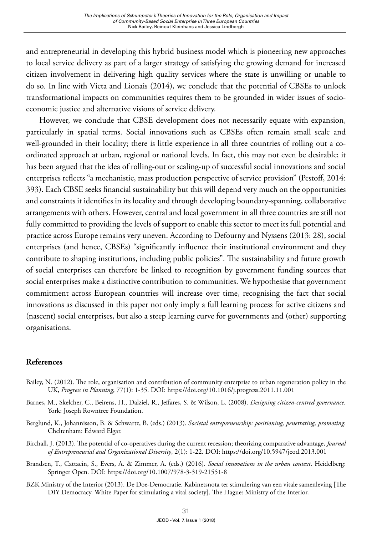and entrepreneurial in developing this hybrid business model which is pioneering new approaches to local service delivery as part of a larger strategy of satisfying the growing demand for increased citizen involvement in delivering high quality services where the state is unwilling or unable to do so*.* In line with Vieta and Lionais (2014), we conclude that the potential of CBSEs to unlock transformational impacts on communities requires them to be grounded in wider issues of socioeconomic justice and alternative visions of service delivery.

However, we conclude that CBSE development does not necessarily equate with expansion, particularly in spatial terms. Social innovations such as CBSEs often remain small scale and well-grounded in their locality; there is little experience in all three countries of rolling out a coordinated approach at urban, regional or national levels. In fact, this may not even be desirable; it has been argued that the idea of rolling-out or scaling-up of successful social innovations and social enterprises reflects "a mechanistic, mass production perspective of service provision" (Pestoff, 2014: 393). Each CBSE seeks financial sustainability but this will depend very much on the opportunities and constraints it identifies in its locality and through developing boundary-spanning, collaborative arrangements with others. However, central and local government in all three countries are still not fully committed to providing the levels of support to enable this sector to meet its full potential and practice across Europe remains very uneven. According to Defourny and Nyssens (2013: 28), social enterprises (and hence, CBSEs) "significantly influence their institutional environment and they contribute to shaping institutions, including public policies". The sustainability and future growth of social enterprises can therefore be linked to recognition by government funding sources that social enterprises make a distinctive contribution to communities. We hypothesise that government commitment across European countries will increase over time, recognising the fact that social innovations as discussed in this paper not only imply a full learning process for active citizens and (nascent) social enterprises, but also a steep learning curve for governments and (other) supporting organisations.

## **References**

- Bailey, N. (2012). The role, organisation and contribution of community enterprise to urban regeneration policy in the UK, *Progress in Planning*, 77(1): 1-35. DOI:<https://doi.org/10.1016/j.progress.2011.11.001>
- Barnes, M., Skelcher, C., Beirens, H., Dalziel, R., Jeffares, S. & Wilson, L. (2008). *Designing citizen-centred governance.* York: Joseph Rowntree Foundation.
- Berglund, K., Johannisson, B. & Schwartz, B. (eds.) (2013). *Societal entrepreneurship: positioning, penetrating, promoting*. Cheltenham: Edward Elgar.
- Birchall, J. (2013). The potential of co-operatives during the current recession; theorizing comparative advantage, *Journal of Entrepreneurial and Organizational Diversity*, 2(1): 1-22. DOI:<https://doi.org/10.5947/jeod.2013.001>
- Brandsen, T., Cattacin, S., Evers, A. & Zimmer, A. (eds.) (2016). *Social innovations in the urban context*. Heidelberg: Springer Open. DOI:<https://doi.org/10.1007/978-3-319-21551-8>
- BZK Ministry of the Interior (2013). De Doe-Democratie. Kabinetsnota ter stimulering van een vitale samenleving [The DIY Democracy. White Paper for stimulating a vital society]. The Hague: Ministry of the Interior.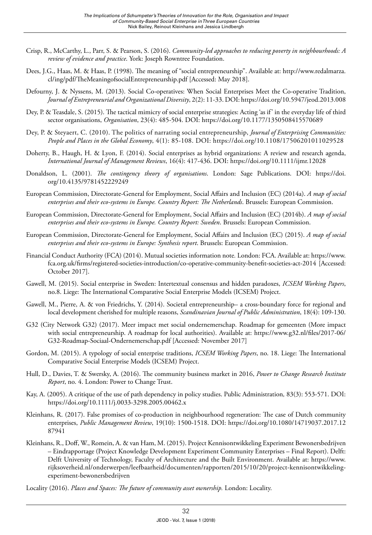- Crisp, R., McCarthy, L., Parr, S. & Pearson, S. (2016). *Community-led approaches to reducing poverty in neighbourhoods: A review of evidence and practice*. York: Joseph Rowntree Foundation.
- Dees, J.G., Haas, M. & Haas, P. (1998). The meaning of "social entrepreneurship". Available at: [http://www.redalmarza.](http://www.redalmarza.cl/ing/pdf/TheMeaningofsocialEntrepreneurship.pdf) [cl/ing/pdf/TheMeaningofsocialEntrepreneurship.pdf](http://www.redalmarza.cl/ing/pdf/TheMeaningofsocialEntrepreneurship.pdf) [Accessed: May 2018].
- Defourny, J. & Nyssens, M. (2013). Social Co-operatives: When Social Enterprises Meet the Co-operative Tradition, *Journal of Entrepreneurial and Organizational Diversity*, 2(2): 11-33. DOI:<https://doi.org/10.5947/jeod.2013.008>
- Dey, P. & Teasdale, S. (2015). The tactical mimicry of social enterprise strategies: Acting 'as if' in the everyday life of third sector organisations, *Organisation*, 23(4): 485-504. DOI: <https://doi.org/10.1177/1350508415570689>
- [Dey](http://www.emeraldinsight.com/author/Dey%2C+Pascal), P. & [Steyaert](http://www.emeraldinsight.com/author/Steyaert%2C+Chris), C. (2010). The politics of narrating social entrepreneurship, *Journal of Enterprising Communities: People and Places in the Global Economy*, 4(1): 85-108. DOI: <https://doi.org/10.1108/17506201011029528>
- Doherty, B., Haugh, H. & Lyon, F. (2014). Social enterprises as hybrid organizations: A review and research agenda, *International Journal of Management Reviews*, 16(4): 417-436. DOI:<https://doi.org/10.1111/ijmr.12028>
- Donaldson, L. (2001). *The contingency theory of organisations*. London: Sage Publications. DOI: [https://doi.](https://doi.org/10.4135/9781452229249) [org/10.4135/9781452229249](https://doi.org/10.4135/9781452229249)
- European Commission, Directorate-General for Employment, Social Affairs and Inclusion (EC) (2014a). *A map of social enterprises and their eco-systems in Europe. Country Report: The Netherlands*. Brussels: European Commission.
- European Commission, Directorate-General for Employment, Social Affairs and Inclusion (EC) (2014b). *A map of social enterprises and their eco-systems in Europe. Country Report: Sweden*. Brussels: European Commission.
- European Commission, Directorate-General for Employment, Social Affairs and Inclusion (EC) (2015). *A map of social enterprises and their eco-systems in Europe: Synthesis report*. Brussels: European Commission.
- Financial Conduct Authority (FCA) (2014). Mutual societies information note*.* London: FCA. Available at: [https://www.](https://www.fca.org.uk/firms/registered-societies-introduction/co-operative-community-benefit-societies-act-2014) [fca.org.uk/firms/registered-societies-introduction/co-operative-community-benefit-societies-act-2014](https://www.fca.org.uk/firms/registered-societies-introduction/co-operative-community-benefit-societies-act-2014) [Accessed: October 2017].
- Gawell, M. (2015). Social enterprise in Sweden: Intertextual consensus and hidden paradoxes, *ICSEM Working Papers*, no.8. Liege: The International Comparative Social Enterprise Models (ICSEM) Project.
- Gawell, M., Pierre, A. & von Friedrichs, Y. (2014). Societal entrepreneurship– a cross-boundary force for regional and local development cherished for multiple reasons, *Scandinavian Journal of Public Administration*, 18(4): 109-130.
- G32 (City Network G32) (2017). Meer impact met social ondernemerschap. Roadmap for gemeenten (More impact with social entrepreneurship. A roadmap for local authorities). Available at: [https://www.g32.nl/files/2017-06/](https://www.g32.nl/files/2017-06/G32-Roadmap-Sociaal-Ondernemerschap.pdf) [G32-Roadmap-Sociaal-Ondernemerschap.pdf](https://www.g32.nl/files/2017-06/G32-Roadmap-Sociaal-Ondernemerschap.pdf) [Accessed: November 2017]
- Gordon, M. (2015). A typology of social enterprise traditions, *ICSEM Working Papers*, no. 18. Liege: The International Comparative Social Enterprise Models (ICSEM) Project.
- Hull, D., Davies, T. & Swersky, A. (2016). The community business market in 2016, *Power to Change Research Institute Report*, no. 4. London: Power to Change Trust.
- Kay, A. (2005). A critique of the use of path dependency in policy studies. Public Administration*,* 83(3): 553-571. DOI: <https://doi.org/10.1111/j.0033-3298.2005.00462.x>
- Kleinhans, R. (2017). False promises of co-production in neighbourhood regeneration: The case of Dutch community enterprises, *Public Management Review*, 19(10): 1500-1518. DOI: [https://doi.org/10.1080/14719037.2017.12](https://doi.org/10.1080/14719037.2017.1287941) [87941](https://doi.org/10.1080/14719037.2017.1287941)
- Kleinhans, R., Doff, W., Romein, A. & van Ham, M. (2015). Project Kennisontwikkeling Experiment Bewonersbedrijven – Eindrapportage (Project Knowledge Development Experiment Community Enterprises – Final Report). Delft: Delft University of Technology, Faculty of Architecture and the Built Environment. Available at: [https://www.](https://www.rijksoverheid.nl/onderwerpen/leefbaarheid/documenten/rapporten/2015/10/20/project-kennisontwikkeling-experiment-bewonersbedrijven) [rijksoverheid.nl/onderwerpen/leefbaarheid/documenten/rapporten/2015/10/20/project-kennisontwikkeling](https://www.rijksoverheid.nl/onderwerpen/leefbaarheid/documenten/rapporten/2015/10/20/project-kennisontwikkeling-experiment-bewonersbedrijven)[experiment-bewonersbedrijven](https://www.rijksoverheid.nl/onderwerpen/leefbaarheid/documenten/rapporten/2015/10/20/project-kennisontwikkeling-experiment-bewonersbedrijven)
- Locality (2016). *Places and Spaces: The future of community asset ownership.* London: Locality.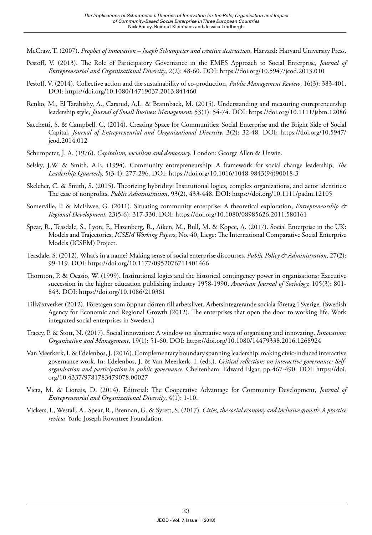McCraw, T. (2007). *Prophet of innovation – Joseph Schumpeter and creative destruction*. Harvard: Harvard University Press.

- Pestoff, V. (2013). The Role of Participatory Governance in the EMES Approach to Social Enterprise, *Journal of Entrepreneurial and Organizational Diversity*, 2(2): 48-60. DOI:<https://doi.org/10.5947/jeod.2013.010>
- Pestoff, V. (2014). Collective action and the sustainability of co-production, *Public Management Review*, 16(3): 383-401. DOI: <https://doi.org/10.1080/14719037.2013.841460>
- Renko, M., El Tarabishy, A., Carsrud, A.L. & Brannback, M. (2015). Understanding and measuring entrepreneurship leadership style, *Journal of Small Business Management*, 53(1): 54-74. DOI:<https://doi.org/10.1111/jsbm.12086>
- Sacchetti, S. & Campbell, C. (2014). Creating Space for Communities: Social Enterprise and the Bright Side of Social Capital, *Journal of Entrepreneurial and Organizational Diversity*, 3(2): 32-48. DOI: [https://doi.org/10.5947/](https://doi.org/10.5947/jeod.2014.012) [jeod.2014.012](https://doi.org/10.5947/jeod.2014.012)
- Schumpeter, J. A. (1976). *Capitalism, socialism and democracy*. London: George Allen & Unwin.
- Selsky, J.W. & Smith, A.E. (1994). Community entrepreneurship: A framework for social change leadership, *The Leadership Quarterly,* 5(3-4): 277-296. DOI: [https://doi.org/10.1016/1048-9843\(94\)90018-3](https://doi.org/10.1016/1048-9843(94)90018-3)
- Skelcher, C. & Smith, S. (2015). Theorizing hybridity: Institutional logics, complex organizations, and actor identities: The case of nonprofits, *Public Administration*, 93(2), 433-448. DOI: <https://doi.org/10.1111/padm.12105>
- Somerville, P. & McElwee, G. (2011). Situating community enterprise: A theoretical exploration, *Entrepreneurship & Regional Development,* 23(5-6): 317-330. DOI: <https://doi.org/10.1080/08985626.2011.580161>
- Spear, R., Teasdale, S., Lyon, F., Hazenberg, R., Aiken, M., Bull, M. & Kopec, A. (2017). Social Enterprise in the UK: Models and Trajectories, *ICSEM Working Papers*, No. 40, Liege: The International Comparative Social Enterprise Models (ICSEM) Project.
- Teasdale, S. (2012). What's in a name? Making sense of social enterprise discourses, *Public Policy & Administration*, 27(2): 99-119. DOI: <https://doi.org/10.1177/0952076711401466>
- Thornton, P. & Ocasio, W. (1999). Institutional logics and the historical contingency power in organisations: Executive succession in the higher education publishing industry 1958-1990, *American Journal of Sociology,* 105(3): 801- 843. DOI: <https://doi.org/10.1086/210361>
- Tillväxtverket (2012). Företagen som öppnar dörren till arbetslivet. Arbetsintegrerande sociala företag i Sverige. (Swedish Agency for Economic and Regional Growth (2012). The enterprises that open the door to working life. Work integrated social enterprises in Sweden.)
- Tracey, P. & Stott, N. (2017). Social innovation: A window on alternative ways of organising and innovating, *Innovation: Organisation and Management*, 19(1): 51-60. DOI: <https://doi.org/10.1080/14479338.2016.1268924>
- Van Meerkerk, I. & Edelenbos, J. (2016). Complementary boundary spanning leadership: making civic-induced interactive governance work. In: Edelenbos, J. & Van Meerkerk, I. (eds.). *Critical reflections on interactive governance: Selforganisation and participation in public governance.* Cheltenham: Edward Elgar, pp 467-490. DOI: [https://doi.](https://doi.org/10.4337/9781783479078.00027) [org/10.4337/9781783479078.00027](https://doi.org/10.4337/9781783479078.00027)
- Vieta, M. & Lionais, D. (2014). Editorial: The Cooperative Advantage for Community Development, *Journal of Entrepreneurial and Organizational Diversity*, 4(1): 1-10.
- Vickers, I., Westall, A., Spear, R., Brennan, G. & Syrett, S. (2017). *Cities, the social economy and inclusive growth: A practice review.* York: Joseph Rowntree Foundation.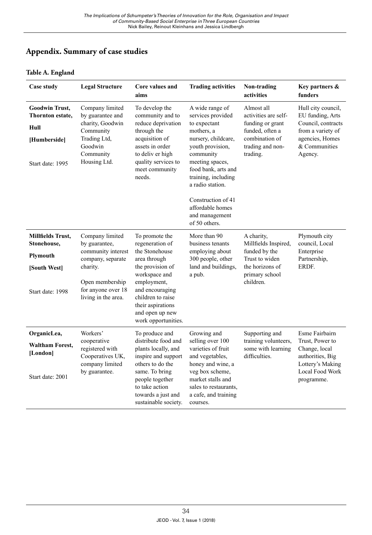# **Appendix. Summary of case studies**

### **Table A. England**

| <b>Case study</b>                                                                     | <b>Legal Structure</b>                                                                                                                                  | Core values and<br>aims                                                                                                                                                                                                        | <b>Trading activities</b>                                                                                                                                                                                       | Non-trading<br>activities                                                                                                   | Key partners &<br>funders                                                                                                        |
|---------------------------------------------------------------------------------------|---------------------------------------------------------------------------------------------------------------------------------------------------------|--------------------------------------------------------------------------------------------------------------------------------------------------------------------------------------------------------------------------------|-----------------------------------------------------------------------------------------------------------------------------------------------------------------------------------------------------------------|-----------------------------------------------------------------------------------------------------------------------------|----------------------------------------------------------------------------------------------------------------------------------|
| <b>Goodwin Trust,</b><br>Thornton estate,<br>Hull<br>[Humberside]<br>Start date: 1995 | Company limited<br>by guarantee and<br>charity, Goodwin<br>Community<br>Trading Ltd,<br>Goodwin<br>Community<br>Housing Ltd.                            | To develop the<br>community and to<br>reduce deprivation<br>through the<br>acquisition of<br>assets in order<br>to deliv er high<br>quality services to<br>meet community<br>needs.                                            | A wide range of<br>services provided<br>to expectant<br>mothers, a<br>nursery, childcare,<br>youth provision,<br>community<br>meeting spaces,<br>food bank, arts and<br>training, including<br>a radio station. | Almost all<br>activities are self-<br>funding or grant<br>funded, often a<br>combination of<br>trading and non-<br>trading. | Hull city council,<br>EU funding, Arts<br>Council, contracts<br>from a variety of<br>agencies, Homes<br>& Communities<br>Agency. |
|                                                                                       |                                                                                                                                                         |                                                                                                                                                                                                                                | Construction of 41<br>affordable homes<br>and management<br>of 50 others.                                                                                                                                       |                                                                                                                             |                                                                                                                                  |
| Millfields Trust,<br>Stonehouse,<br>Plymouth<br>[South West]<br>Start date: 1998      | Company limited<br>by guarantee,<br>community interest<br>company, separate<br>charity.<br>Open membership<br>for anyone over 18<br>living in the area. | To promote the<br>regeneration of<br>the Stonehouse<br>area through<br>the provision of<br>workspace and<br>employment,<br>and encouraging<br>children to raise<br>their aspirations<br>and open up new<br>work opportunities. | More than 90<br>business tenants<br>employing about<br>300 people, other<br>land and buildings,<br>a pub.                                                                                                       | A charity,<br>Millfields Inspired,<br>funded by the<br>Trust to widen<br>the horizons of<br>primary school<br>children.     | Plymouth city<br>council, Local<br>Enterprise<br>Partnership,<br>ERDF.                                                           |
| OrganicLea,<br><b>Waltham Forest,</b><br>[London]<br>Start date: 2001                 | Workers'<br>cooperative<br>registered with<br>Cooperatives UK,<br>company limited<br>by guarantee.                                                      | To produce and<br>distribute food and<br>plants locally, and<br>inspire and support<br>others to do the<br>same. To bring<br>people together<br>to take action<br>towards a just and<br>sustainable society.                   | Growing and<br>selling over 100<br>varieties of fruit<br>and vegetables,<br>honey and wine, a<br>veg box scheme,<br>market stalls and<br>sales to restaurants.<br>a cafe, and training<br>courses.              | Supporting and<br>training volunteers,<br>some with learning<br>difficulties.                                               | Esme Fairbairn<br>Trust, Power to<br>Change, local<br>authorities, Big<br>Lottery's Making<br>Local Food Work<br>programme.      |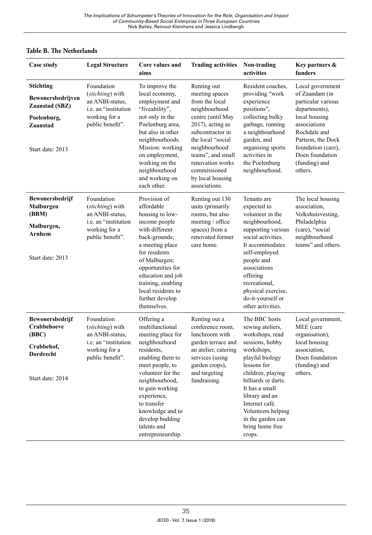#### **Table B. The Netherlands**

| <b>Case study</b>                                                                               | <b>Legal Structure</b>                                                                                                  | Core values and<br>aims                                                                                                                                                                                     | <b>Trading activities</b>                                                                                                                                                                                                        | Non-trading<br>activities                                                                                                                                                                           | Key partners &<br>funders                                                                                                                                                                                 |
|-------------------------------------------------------------------------------------------------|-------------------------------------------------------------------------------------------------------------------------|-------------------------------------------------------------------------------------------------------------------------------------------------------------------------------------------------------------|----------------------------------------------------------------------------------------------------------------------------------------------------------------------------------------------------------------------------------|-----------------------------------------------------------------------------------------------------------------------------------------------------------------------------------------------------|-----------------------------------------------------------------------------------------------------------------------------------------------------------------------------------------------------------|
| Stichting<br>Bewonersbedrijven<br>Zaanstad (SBZ)<br>Poelenburg,<br>Zaanstad<br>Start date: 2013 | Foundation<br>(stichting) with<br>an ANBI-status,<br>i.e. an "institution<br>working for a<br>public benefit".          | To improve the<br>local economy,<br>employment and<br>"liveability",<br>not only in the<br>Poelenburg area,<br>but also in other<br>neighbourhoods.<br>Mission: working<br>on employment,<br>working on the | Renting out<br>meeting spaces<br>from the local<br>neighbourhood<br>centre (until May<br>$2017$ ), acting as<br>subcontractor in<br>the local "social"<br>neighbourhood<br>teams", and small<br>renovation works<br>commissioned | Resident coaches,<br>providing "work<br>experience<br>positions",<br>collecting bulky<br>garbage, running<br>a neighbourhood<br>garden, and<br>organising sports<br>activities in<br>the Poelenburg | Local government<br>of Zaandam (in<br>particular various<br>departments),<br>local housing<br>associations<br>Rochdale and<br>Parteon, the Dock<br>foundation (care),<br>Doen foundation<br>(funding) and |
|                                                                                                 |                                                                                                                         | neighbourhood<br>and working on<br>each other.                                                                                                                                                              | by local housing<br>associations.                                                                                                                                                                                                | neighbourhood.                                                                                                                                                                                      | others.                                                                                                                                                                                                   |
| Bewonersbedrijf<br><b>Malburgen</b><br>(BBM)<br>Malburgen,<br><b>Arnhem</b><br>Start date: 2013 | Foundation<br>( <i>stichting</i> ) with<br>an ANBI-status,<br>i.e. an "institution<br>working for a<br>public benefit". | Provision of<br>affordable<br>housing to low-<br>income people<br>with different<br>back-grounds;<br>a meeting place<br>for residents<br>of Malburgen;<br>opportunities for<br>education and job            | Renting out 130<br>units (primarily<br>rooms, but also<br>meeting / office<br>spaces) from a<br>renovated former<br>care home.                                                                                                   | Tenants are<br>expected to<br>volunteer in the<br>neighbourhood,<br>supporting various<br>social activities.<br>It accommodates<br>self-employed<br>people and<br>associations<br>offering          | The local housing<br>association,<br>Volkshuisvesting,<br>Philadelphia<br>(care), "social<br>neighbourhood<br>teams" and others.                                                                          |
|                                                                                                 |                                                                                                                         | training, enabling<br>local residents to<br>further develop<br>themselves.                                                                                                                                  |                                                                                                                                                                                                                                  | recreational,<br>physical exercise,<br>do-it-yourself or<br>other activities.                                                                                                                       |                                                                                                                                                                                                           |
| Bewonersbedrijf<br>Crabbehoeve<br>(BBC)<br>Crabbehof,<br>Dordrecht                              | Foundation<br>(stichting) with<br>an ANBI-status.<br>i.e. an "institution<br>working for a<br>public benefit".          | Offering a<br>multifunctional<br>meeting place for<br>neighbourhood<br>residents.<br>enabling them to<br>meet people, to                                                                                    | Renting out a<br>conference room.<br>lunchroom with<br>garden terrace and<br>an atelier, catering<br>services (using<br>garden crops),                                                                                           | The BBC hosts<br>sewing ateliers,<br>workshops, read<br>sessions, hobby<br>workshops,<br>playful biology<br>lessons for                                                                             | Local government,<br>MEE (care<br>organisation),<br>local housing<br>association.<br>Doen foundation<br>(funding) and                                                                                     |
| Start date: 2014                                                                                |                                                                                                                         | volunteer for the<br>neighbourhood,<br>to gain working<br>experience,<br>to transfer<br>knowledge and to<br>develop budding<br>talents and<br>entrepreneurship.                                             | and targeting<br>fundraising.                                                                                                                                                                                                    | children, playing<br>billiards or darts.<br>It has a small<br>library and an<br>Internet café.<br>Volunteers helping<br>in the garden can<br>bring home free<br>crops.                              | others.                                                                                                                                                                                                   |